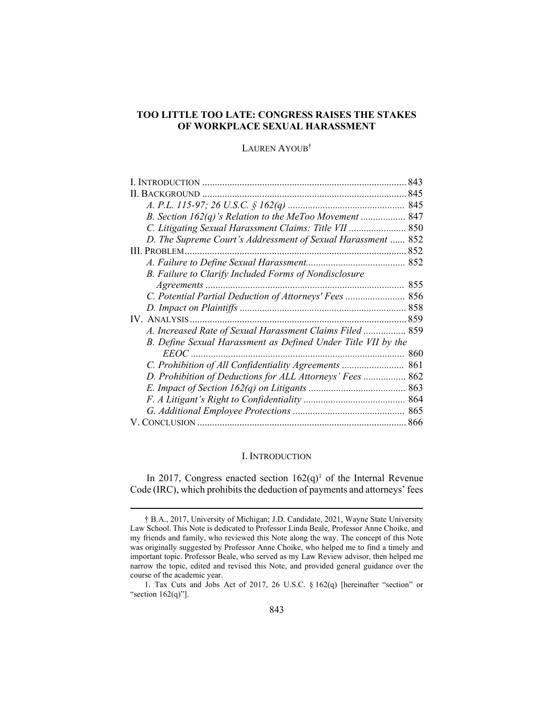# TOO LITTLE TOO LATE: CONGRESS RAISES THE STAKES OF WORKPLACE SEXUAL HARASSMENT

# LAUREN AYOUB†

| L INTRODUCTION                                                | 843 |
|---------------------------------------------------------------|-----|
| <b>BACKGROUND</b>                                             |     |
|                                                               |     |
| B. Section $162(q)$ 's Relation to the MeToo Movement  847    |     |
| C. Litigating Sexual Harassment Claims: Title VII  850        |     |
| D. The Supreme Court's Addressment of Sexual Harassment  852  |     |
|                                                               |     |
|                                                               |     |
| B. Failure to Clarify Included Forms of Nondisclosure         |     |
|                                                               | 855 |
| C. Potential Partial Deduction of Attorneys' Fees  856        |     |
|                                                               |     |
|                                                               |     |
| A. Increased Rate of Sexual Harassment Claims Filed  859      |     |
| B. Define Sexual Harassment as Defined Under Title VII by the |     |
| <i>EEOC</i>                                                   | 860 |
|                                                               |     |
| D. Prohibition of Deductions for ALL Attorneys' Fees  862     |     |
|                                                               |     |
|                                                               |     |
|                                                               | 865 |
|                                                               |     |

#### I. INTRODUCTION

In 2017, Congress enacted section  $162(q)^1$  of the Internal Revenue Code (IRC), which prohibits the deduction of payments and attorneys' fees

 <sup>†</sup> B.A., 2017, University of Michigan; J.D. Candidate, 2021, Wayne State University Law School. This Note is dedicated to Professor Linda Beale, Professor Anne Choike, and my friends and family, who reviewed this Note along the way. The concept of this Note was originally suggested by Professor Anne Choike, who helped me to find a timely and important topic. Professor Beale, who served as my Law Review advisor, then helped me narrow the topic, edited and revised this Note, and provided general guidance over the course of the academic year.

 <sup>1.</sup> Tax Cuts and Jobs Act of 2017, 26 U.S.C. § 162(q) [hereinafter "section" or "section  $162(q)$ "].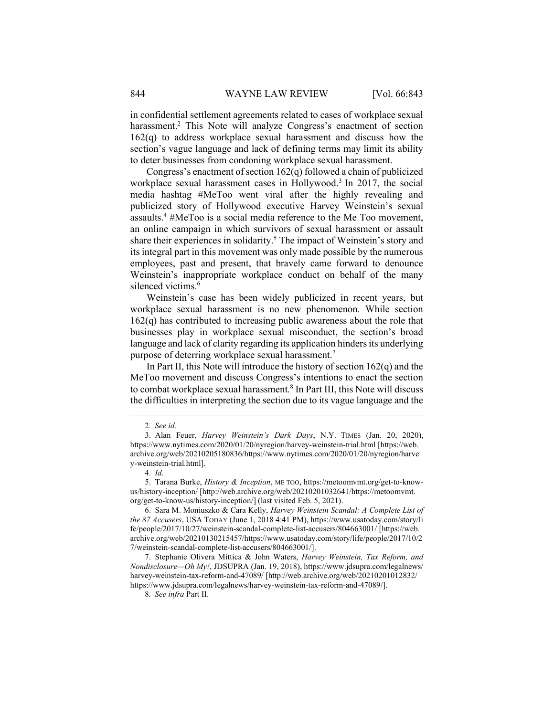in confidential settlement agreements related to cases of workplace sexual harassment.<sup>2</sup> This Note will analyze Congress's enactment of section  $162(q)$  to address workplace sexual harassment and discuss how the section's vague language and lack of defining terms may limit its ability to deter businesses from condoning workplace sexual harassment.

Congress's enactment of section 162(q) followed a chain of publicized workplace sexual harassment cases in Hollywood.<sup>3</sup> In 2017, the social media hashtag #MeToo went viral after the highly revealing and publicized story of Hollywood executive Harvey Weinstein's sexual assaults.<sup>4</sup> #MeToo is a social media reference to the Me Too movement, an online campaign in which survivors of sexual harassment or assault share their experiences in solidarity.<sup>5</sup> The impact of Weinstein's story and its integral part in this movement was only made possible by the numerous employees, past and present, that bravely came forward to denounce Weinstein's inappropriate workplace conduct on behalf of the many silenced victims.<sup>6</sup>

Weinstein's case has been widely publicized in recent years, but workplace sexual harassment is no new phenomenon. While section  $162(q)$  has contributed to increasing public awareness about the role that businesses play in workplace sexual misconduct, the section's broad language and lack of clarity regarding its application hinders its underlying purpose of deterring workplace sexual harassment.<sup>7</sup>

In Part II, this Note will introduce the history of section  $162(q)$  and the MeToo movement and discuss Congress's intentions to enact the section to combat workplace sexual harassment.<sup>8</sup> In Part III, this Note will discuss the difficulties in interpreting the section due to its vague language and the

<sup>2</sup>. See id.

 <sup>3.</sup> Alan Feuer, Harvey Weinstein's Dark Days, N.Y. TIMES (Jan. 20, 2020), https://www.nytimes.com/2020/01/20/nyregion/harvey-weinstein-trial.html [https://web. archive.org/web/20210205180836/https://www.nytimes.com/2020/01/20/nyregion/harve y-weinstein-trial.html].

<sup>4</sup>. Id.

 <sup>5.</sup> Tarana Burke, History & Inception, ME TOO, https://metoomvmt.org/get-to-knowus/history-inception/ [http://web.archive.org/web/20210201032641/https://metoomvmt. org/get-to-know-us/history-inception/] (last visited Feb. 5, 2021).

 <sup>6.</sup> Sara M. Moniuszko & Cara Kelly, Harvey Weinstein Scandal: A Complete List of the 87 Accusers, USA TODAY (June 1, 2018 4:41 PM), https://www.usatoday.com/story/li fe/people/2017/10/27/weinstein-scandal-complete-list-accusers/804663001/ [https://web. archive.org/web/20210130215457/https://www.usatoday.com/story/life/people/2017/10/2 7/weinstein-scandal-complete-list-accusers/804663001/].

<sup>7.</sup> Stephanie Olivera Mittica & John Waters, Harvey Weinstein, Tax Reform, and Nondisclosure—Oh My!, JDSUPRA (Jan. 19, 2018), https://www.jdsupra.com/legalnews/ harvey-weinstein-tax-reform-and-47089/ [http://web.archive.org/web/20210201012832/ https://www.jdsupra.com/legalnews/harvey-weinstein-tax-reform-and-47089/].

<sup>8</sup>. See infra Part II.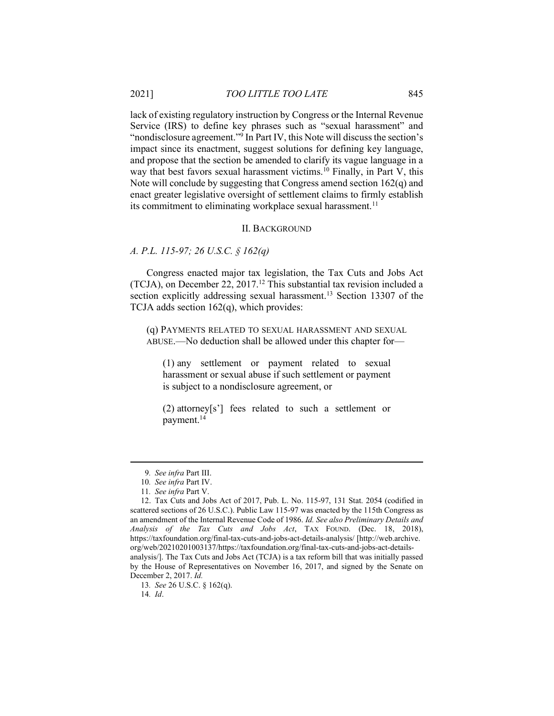lack of existing regulatory instruction by Congress or the Internal Revenue Service (IRS) to define key phrases such as "sexual harassment" and "nondisclosure agreement."<sup>9</sup> In Part IV, this Note will discuss the section's impact since its enactment, suggest solutions for defining key language, and propose that the section be amended to clarify its vague language in a way that best favors sexual harassment victims.<sup>10</sup> Finally, in Part V, this Note will conclude by suggesting that Congress amend section 162(q) and enact greater legislative oversight of settlement claims to firmly establish its commitment to eliminating workplace sexual harassment.<sup>11</sup>

# II. BACKGROUND

# A. P.L. 115-97; 26 U.S.C. § 162(q)

Congress enacted major tax legislation, the Tax Cuts and Jobs Act (TCJA), on December 22,  $2017<sup>12</sup>$  This substantial tax revision included a section explicitly addressing sexual harassment.<sup>13</sup> Section 13307 of the TCJA adds section 162(q), which provides:

(q) PAYMENTS RELATED TO SEXUAL HARASSMENT AND SEXUAL ABUSE.—No deduction shall be allowed under this chapter for—

(1) any settlement or payment related to sexual harassment or sexual abuse if such settlement or payment is subject to a nondisclosure agreement, or

(2) attorney[s'] fees related to such a settlement or payment.<sup>14</sup>

14. Id.

<sup>9</sup>. See infra Part III.

<sup>10</sup>. See infra Part IV.

<sup>11</sup>. See infra Part V.

 <sup>12.</sup> Tax Cuts and Jobs Act of 2017, Pub. L. No. 115-97, 131 Stat. 2054 (codified in scattered sections of 26 U.S.C.). Public Law 115-97 was enacted by the 115th Congress as an amendment of the Internal Revenue Code of 1986. Id. See also Preliminary Details and Analysis of the Tax Cuts and Jobs Act, TAX FOUND. (Dec. 18, 2018), https://taxfoundation.org/final-tax-cuts-and-jobs-act-details-analysis/ [http://web.archive. org/web/20210201003137/https://taxfoundation.org/final-tax-cuts-and-jobs-act-detailsanalysis/]. The Tax Cuts and Jobs Act (TCJA) is a tax reform bill that was initially passed by the House of Representatives on November 16, 2017, and signed by the Senate on December 2, 2017. Id.

<sup>13</sup>. See 26 U.S.C. § 162(q).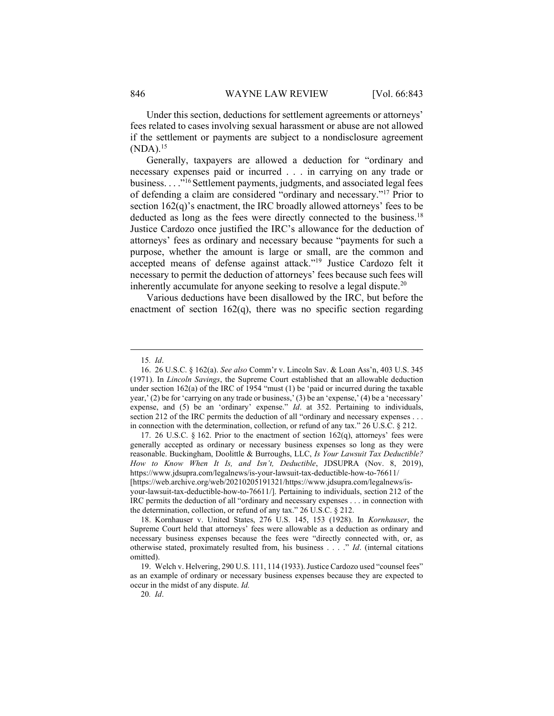Under this section, deductions for settlement agreements or attorneys' fees related to cases involving sexual harassment or abuse are not allowed if the settlement or payments are subject to a nondisclosure agreement  $(NDA).<sup>15</sup>$ 

Generally, taxpayers are allowed a deduction for "ordinary and necessary expenses paid or incurred . . . in carrying on any trade or business. . . ."<sup>16</sup>Settlement payments, judgments, and associated legal fees of defending a claim are considered "ordinary and necessary."<sup>17</sup> Prior to section 162(q)'s enactment, the IRC broadly allowed attorneys' fees to be deducted as long as the fees were directly connected to the business.<sup>18</sup> Justice Cardozo once justified the IRC's allowance for the deduction of attorneys' fees as ordinary and necessary because "payments for such a purpose, whether the amount is large or small, are the common and accepted means of defense against attack."<sup>19</sup> Justice Cardozo felt it necessary to permit the deduction of attorneys' fees because such fees will inherently accumulate for anyone seeking to resolve a legal dispute.<sup>20</sup>

Various deductions have been disallowed by the IRC, but before the enactment of section  $162(q)$ , there was no specific section regarding

17. 26 U.S.C.  $\S$  162. Prior to the enactment of section 162 $(q)$ , attorneys' fees were generally accepted as ordinary or necessary business expenses so long as they were reasonable. Buckingham, Doolittle & Burroughs, LLC, Is Your Lawsuit Tax Deductible? How to Know When It Is, and Isn't, Deductible, JDSUPRA (Nov. 8, 2019), https://www.jdsupra.com/legalnews/is-your-lawsuit-tax-deductible-how-to-76611/

[https://web.archive.org/web/20210205191321/https://www.jdsupra.com/legalnews/isyour-lawsuit-tax-deductible-how-to-76611/]. Pertaining to individuals, section 212 of the IRC permits the deduction of all "ordinary and necessary expenses . . . in connection with the determination, collection, or refund of any tax." 26 U.S.C. § 212.

20. Id.

<sup>15</sup>. Id.

 <sup>16. 26</sup> U.S.C. § 162(a). See also Comm'r v. Lincoln Sav. & Loan Ass'n, 403 U.S. 345 (1971). In Lincoln Savings, the Supreme Court established that an allowable deduction under section  $162(a)$  of the IRC of 1954 "must  $(1)$  be 'paid or incurred during the taxable year,' (2) be for 'carrying on any trade or business,' (3) be an 'expense,' (4) be a 'necessary' expense, and (5) be an 'ordinary' expense." Id. at 352. Pertaining to individuals, section 212 of the IRC permits the deduction of all "ordinary and necessary expenses . . . in connection with the determination, collection, or refund of any tax." 26 U.S.C. § 212.

 <sup>18.</sup> Kornhauser v. United States, 276 U.S. 145, 153 (1928). In Kornhauser, the Supreme Court held that attorneys' fees were allowable as a deduction as ordinary and necessary business expenses because the fees were "directly connected with, or, as otherwise stated, proximately resulted from, his business . . . ." Id. (internal citations omitted).

 <sup>19.</sup> Welch v. Helvering, 290 U.S. 111, 114 (1933). Justice Cardozo used "counsel fees" as an example of ordinary or necessary business expenses because they are expected to occur in the midst of any dispute. Id.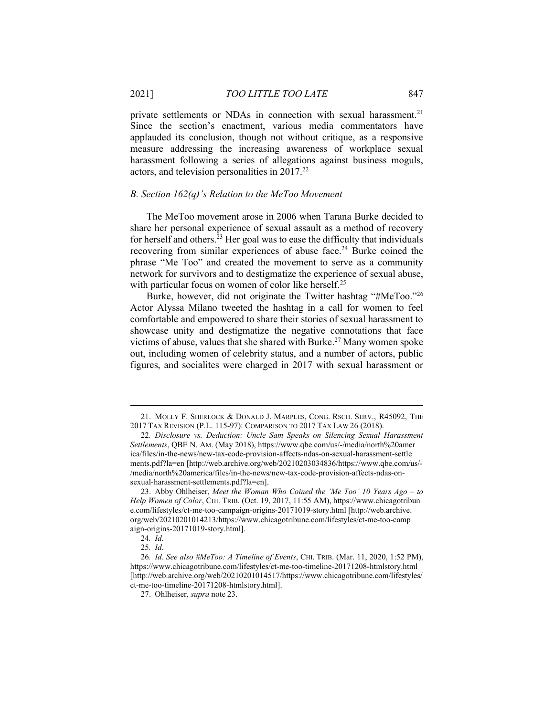private settlements or NDAs in connection with sexual harassment.<sup>21</sup> Since the section's enactment, various media commentators have applauded its conclusion, though not without critique, as a responsive measure addressing the increasing awareness of workplace sexual harassment following a series of allegations against business moguls, actors, and television personalities in 2017.<sup>22</sup>

## B. Section 162(q)'s Relation to the MeToo Movement

The MeToo movement arose in 2006 when Tarana Burke decided to share her personal experience of sexual assault as a method of recovery for herself and others.<sup>23</sup> Her goal was to ease the difficulty that individuals recovering from similar experiences of abuse face.<sup>24</sup> Burke coined the phrase "Me Too" and created the movement to serve as a community network for survivors and to destigmatize the experience of sexual abuse, with particular focus on women of color like herself.<sup>25</sup>

Burke, however, did not originate the Twitter hashtag "#MeToo."<sup>26</sup> Actor Alyssa Milano tweeted the hashtag in a call for women to feel comfortable and empowered to share their stories of sexual harassment to showcase unity and destigmatize the negative connotations that face victims of abuse, values that she shared with Burke.<sup>27</sup> Many women spoke out, including women of celebrity status, and a number of actors, public figures, and socialites were charged in 2017 with sexual harassment or

 <sup>21.</sup> MOLLY F. SHERLOCK & DONALD J. MARPLES, CONG. RSCH. SERV., R45092, THE 2017 TAX REVISION (P.L. 115-97): COMPARISON TO 2017 TAX LAW 26 (2018).

<sup>22</sup>. Disclosure vs. Deduction: Uncle Sam Speaks on Silencing Sexual Harassment Settlements, QBE N. AM. (May 2018), https://www.qbe.com/us/-/media/north%20amer ica/files/in-the-news/new-tax-code-provision-affects-ndas-on-sexual-harassment-settle ments.pdf?la=en [http://web.archive.org/web/20210203034836/https://www.qbe.com/us/- /media/north%20america/files/in-the-news/new-tax-code-provision-affects-ndas-onsexual-harassment-settlements.pdf?la=en].

<sup>23.</sup> Abby Ohlheiser, Meet the Woman Who Coined the 'Me Too' 10 Years  $Ago - to$ Help Women of Color, CHI. TRIB. (Oct. 19, 2017, 11:55 AM), https://www.chicagotribun e.com/lifestyles/ct-me-too-campaign-origins-20171019-story.html [http://web.archive. org/web/20210201014213/https://www.chicagotribune.com/lifestyles/ct-me-too-camp aign-origins-20171019-story.html].

<sup>24</sup>. Id.

<sup>25</sup>. Id.

<sup>26</sup>. Id. See also #MeToo: A Timeline of Events, CHI. TRIB. (Mar. 11, 2020, 1:52 PM), https://www.chicagotribune.com/lifestyles/ct-me-too-timeline-20171208-htmlstory.html [http://web.archive.org/web/20210201014517/https://www.chicagotribune.com/lifestyles/ ct-me-too-timeline-20171208-htmlstory.html].

 <sup>27.</sup> Ohlheiser, supra note 23.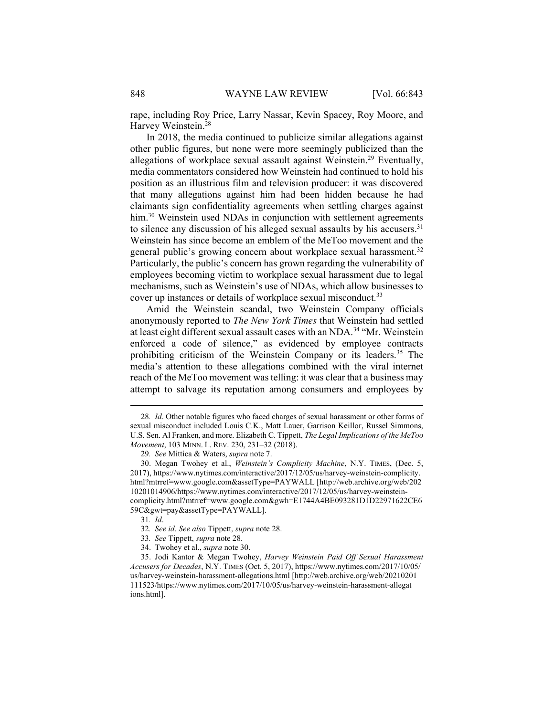rape, including Roy Price, Larry Nassar, Kevin Spacey, Roy Moore, and Harvey Weinstein.<sup>28</sup>

In 2018, the media continued to publicize similar allegations against other public figures, but none were more seemingly publicized than the allegations of workplace sexual assault against Weinstein.<sup>29</sup> Eventually, media commentators considered how Weinstein had continued to hold his position as an illustrious film and television producer: it was discovered that many allegations against him had been hidden because he had claimants sign confidentiality agreements when settling charges against him.<sup>30</sup> Weinstein used NDAs in conjunction with settlement agreements to silence any discussion of his alleged sexual assaults by his accusers.<sup>31</sup> Weinstein has since become an emblem of the MeToo movement and the general public's growing concern about workplace sexual harassment.<sup>32</sup> Particularly, the public's concern has grown regarding the vulnerability of employees becoming victim to workplace sexual harassment due to legal mechanisms, such as Weinstein's use of NDAs, which allow businesses to cover up instances or details of workplace sexual misconduct.<sup>33</sup>

Amid the Weinstein scandal, two Weinstein Company officials anonymously reported to The New York Times that Weinstein had settled at least eight different sexual assault cases with an NDA.<sup>34</sup> "Mr. Weinstein enforced a code of silence," as evidenced by employee contracts prohibiting criticism of the Weinstein Company or its leaders.<sup>35</sup> The media's attention to these allegations combined with the viral internet reach of the MeToo movement was telling: it was clear that a business may attempt to salvage its reputation among consumers and employees by

<sup>28</sup>. Id. Other notable figures who faced charges of sexual harassment or other forms of sexual misconduct included Louis C.K., Matt Lauer, Garrison Keillor, Russel Simmons, U.S. Sen. Al Franken, and more. Elizabeth C. Tippett, The Legal Implications of the MeToo Movement, 103 MINN. L. REV. 230, 231–32 (2018).

<sup>29</sup>. See Mittica & Waters, supra note 7.

 <sup>30.</sup> Megan Twohey et al., Weinstein's Complicity Machine, N.Y. TIMES, (Dec. 5, 2017), https://www.nytimes.com/interactive/2017/12/05/us/harvey-weinstein-complicity. html?mtrref=www.google.com&assetType=PAYWALL [http://web.archive.org/web/202 10201014906/https://www.nytimes.com/interactive/2017/12/05/us/harvey-weinsteincomplicity.html?mtrref=www.google.com&gwh=E1744A4BE093281D1D22971622CE6 59C&gwt=pay&assetType=PAYWALL].

<sup>31</sup>. Id.

<sup>32</sup>. See id. See also Tippett, supra note 28.

<sup>33</sup>. See Tippett, supra note 28.

 <sup>34.</sup> Twohey et al., supra note 30.

 <sup>35.</sup> Jodi Kantor & Megan Twohey, Harvey Weinstein Paid Off Sexual Harassment Accusers for Decades, N.Y. TIMES (Oct. 5, 2017), https://www.nytimes.com/2017/10/05/ us/harvey-weinstein-harassment-allegations.html [http://web.archive.org/web/20210201 111523/https://www.nytimes.com/2017/10/05/us/harvey-weinstein-harassment-allegat ions.html].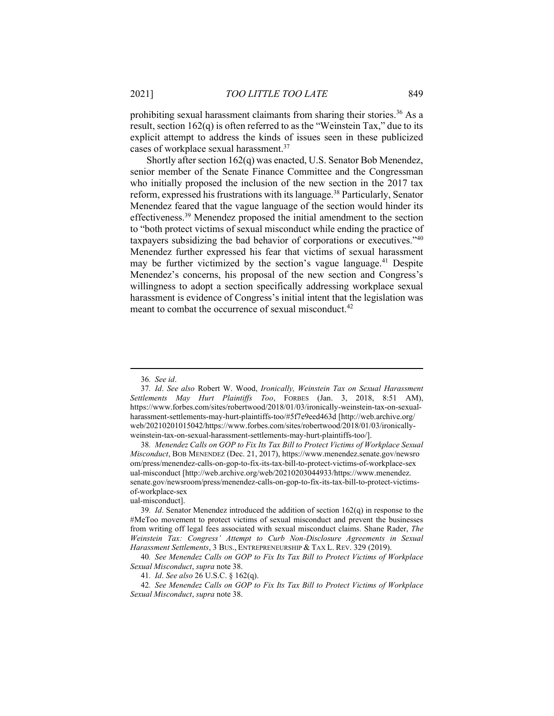prohibiting sexual harassment claimants from sharing their stories.<sup>36</sup> As a result, section 162(q) is often referred to as the "Weinstein Tax," due to its explicit attempt to address the kinds of issues seen in these publicized cases of workplace sexual harassment.<sup>37</sup>

Shortly after section 162(q) was enacted, U.S. Senator Bob Menendez, senior member of the Senate Finance Committee and the Congressman who initially proposed the inclusion of the new section in the 2017 tax reform, expressed his frustrations with its language.<sup>38</sup> Particularly, Senator Menendez feared that the vague language of the section would hinder its effectiveness.<sup>39</sup> Menendez proposed the initial amendment to the section to "both protect victims of sexual misconduct while ending the practice of taxpayers subsidizing the bad behavior of corporations or executives."<sup>40</sup> Menendez further expressed his fear that victims of sexual harassment may be further victimized by the section's vague language.<sup>41</sup> Despite Menendez's concerns, his proposal of the new section and Congress's willingness to adopt a section specifically addressing workplace sexual harassment is evidence of Congress's initial intent that the legislation was meant to combat the occurrence of sexual misconduct.<sup>42</sup>

41. Id. See also 26 U.S.C. § 162(q).

42. See Menendez Calls on GOP to Fix Its Tax Bill to Protect Victims of Workplace Sexual Misconduct, supra note 38.

<sup>36</sup>. See id.

<sup>37</sup>. Id. See also Robert W. Wood, Ironically, Weinstein Tax on Sexual Harassment Settlements May Hurt Plaintiffs Too, FORBES (Jan. 3, 2018, 8:51 AM), https://www.forbes.com/sites/robertwood/2018/01/03/ironically-weinstein-tax-on-sexualharassment-settlements-may-hurt-plaintiffs-too/#5f7e9eed463d [http://web.archive.org/ web/20210201015042/https://www.forbes.com/sites/robertwood/2018/01/03/ironicallyweinstein-tax-on-sexual-harassment-settlements-may-hurt-plaintiffs-too/].

<sup>38</sup>. Menendez Calls on GOP to Fix Its Tax Bill to Protect Victims of Workplace Sexual Misconduct, BOB MENENDEZ (Dec. 21, 2017), https://www.menendez.senate.gov/newsro om/press/menendez-calls-on-gop-to-fix-its-tax-bill-to-protect-victims-of-workplace-sex ual-misconduct [http://web.archive.org/web/20210203044933/https://www.menendez. senate.gov/newsroom/press/menendez-calls-on-gop-to-fix-its-tax-bill-to-protect-victimsof-workplace-sex

ual-misconduct].

<sup>39</sup>. Id. Senator Menendez introduced the addition of section 162(q) in response to the #MeToo movement to protect victims of sexual misconduct and prevent the businesses from writing off legal fees associated with sexual misconduct claims. Shane Rader, The Weinstein Tax: Congress' Attempt to Curb Non-Disclosure Agreements in Sexual Harassment Settlements, 3 BUS., ENTREPRENEURSHIP & TAX L. REV. 329 (2019).

<sup>40</sup>. See Menendez Calls on GOP to Fix Its Tax Bill to Protect Victims of Workplace Sexual Misconduct, supra note 38.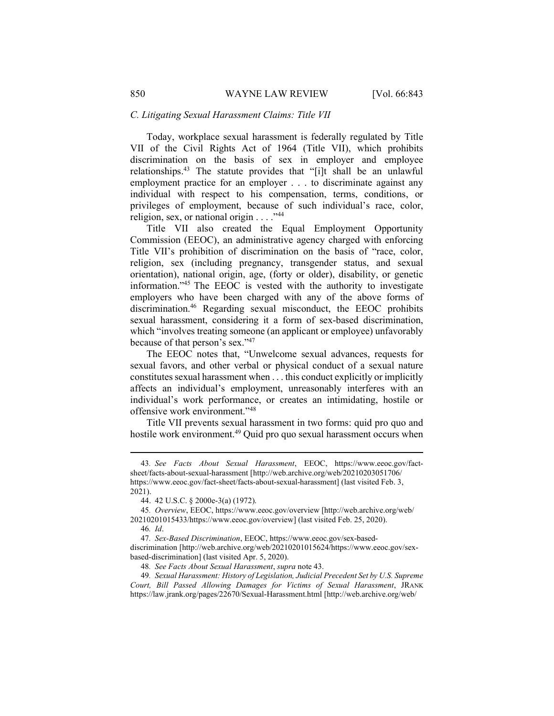#### C. Litigating Sexual Harassment Claims: Title VII

Today, workplace sexual harassment is federally regulated by Title VII of the Civil Rights Act of 1964 (Title VII), which prohibits discrimination on the basis of sex in employer and employee relationships.<sup>43</sup> The statute provides that "[i]t shall be an unlawful employment practice for an employer . . . to discriminate against any individual with respect to his compensation, terms, conditions, or privileges of employment, because of such individual's race, color, religion, sex, or national origin  $\ldots$ ."<sup>44</sup>

Title VII also created the Equal Employment Opportunity Commission (EEOC), an administrative agency charged with enforcing Title VII's prohibition of discrimination on the basis of "race, color, religion, sex (including pregnancy, transgender status, and sexual orientation), national origin, age, (forty or older), disability, or genetic information."<sup>45</sup> The EEOC is vested with the authority to investigate employers who have been charged with any of the above forms of discrimination.<sup>46</sup> Regarding sexual misconduct, the EEOC prohibits sexual harassment, considering it a form of sex-based discrimination, which "involves treating someone (an applicant or employee) unfavorably because of that person's sex."<sup>47</sup>

The EEOC notes that, "Unwelcome sexual advances, requests for sexual favors, and other verbal or physical conduct of a sexual nature constitutes sexual harassment when . . . this conduct explicitly or implicitly affects an individual's employment, unreasonably interferes with an individual's work performance, or creates an intimidating, hostile or offensive work environment."<sup>48</sup>

Title VII prevents sexual harassment in two forms: quid pro quo and hostile work environment.<sup>49</sup> Quid pro quo sexual harassment occurs when

<sup>43</sup>. See Facts About Sexual Harassment, EEOC, https://www.eeoc.gov/factsheet/facts-about-sexual-harassment [http://web.archive.org/web/20210203051706/ https://www.eeoc.gov/fact-sheet/facts-about-sexual-harassment] (last visited Feb. 3, 2021).

 <sup>44. 42</sup> U.S.C. § 2000e-3(a) (1972).

<sup>45</sup>. Overview, EEOC, https://www.eeoc.gov/overview [http://web.archive.org/web/ 20210201015433/https://www.eeoc.gov/overview] (last visited Feb. 25, 2020).

<sup>46</sup>. Id.

<sup>47</sup>. Sex-Based Discrimination, EEOC, https://www.eeoc.gov/sex-baseddiscrimination [http://web.archive.org/web/20210201015624/https://www.eeoc.gov/sexbased-discrimination] (last visited Apr. 5, 2020).

<sup>48</sup>. See Facts About Sexual Harassment, supra note 43.

<sup>49</sup>. Sexual Harassment: History of Legislation, Judicial Precedent Set by U.S. Supreme Court, Bill Passed Allowing Damages for Victims of Sexual Harassment, JRANK https://law.jrank.org/pages/22670/Sexual-Harassment.html [http://web.archive.org/web/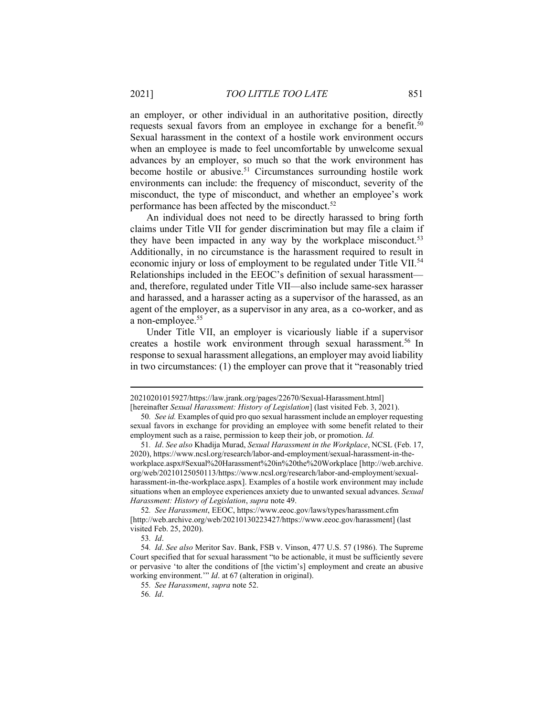an employer, or other individual in an authoritative position, directly requests sexual favors from an employee in exchange for a benefit.<sup>50</sup> Sexual harassment in the context of a hostile work environment occurs when an employee is made to feel uncomfortable by unwelcome sexual advances by an employer, so much so that the work environment has become hostile or abusive.<sup>51</sup> Circumstances surrounding hostile work environments can include: the frequency of misconduct, severity of the misconduct, the type of misconduct, and whether an employee's work performance has been affected by the misconduct.<sup>52</sup>

An individual does not need to be directly harassed to bring forth claims under Title VII for gender discrimination but may file a claim if they have been impacted in any way by the workplace misconduct.<sup>53</sup> Additionally, in no circumstance is the harassment required to result in economic injury or loss of employment to be regulated under Title VII.<sup>54</sup> Relationships included in the EEOC's definition of sexual harassment and, therefore, regulated under Title VII—also include same-sex harasser and harassed, and a harasser acting as a supervisor of the harassed, as an agent of the employer, as a supervisor in any area, as a co-worker, and as a non-employee.<sup>55</sup>

Under Title VII, an employer is vicariously liable if a supervisor creates a hostile work environment through sexual harassment.<sup>56</sup> In response to sexual harassment allegations, an employer may avoid liability in two circumstances: (1) the employer can prove that it "reasonably tried

<sup>20210201015927/</sup>https://law.jrank.org/pages/22670/Sexual-Harassment.html]

<sup>[</sup>hereinafter Sexual Harassment: History of Legislation] (last visited Feb. 3, 2021).

<sup>50</sup>. See id. Examples of quid pro quo sexual harassment include an employer requesting sexual favors in exchange for providing an employee with some benefit related to their employment such as a raise, permission to keep their job, or promotion. Id.

<sup>51</sup>. Id. See also Khadija Murad, Sexual Harassment in the Workplace, NCSL (Feb. 17, 2020), https://www.ncsl.org/research/labor-and-employment/sexual-harassment-in-theworkplace.aspx#Sexual%20Harassment%20in%20the%20Workplace [http://web.archive. org/web/20210125050113/https://www.ncsl.org/research/labor-and-employment/sexualharassment-in-the-workplace.aspx]. Examples of a hostile work environment may include situations when an employee experiences anxiety due to unwanted sexual advances. Sexual Harassment: History of Legislation, supra note 49.

<sup>52</sup>. See Harassment, EEOC, https://www.eeoc.gov/laws/types/harassment.cfm [http://web.archive.org/web/20210130223427/https://www.eeoc.gov/harassment] (last visited Feb. 25, 2020).

<sup>53</sup>. Id.

<sup>54</sup>. Id. See also Meritor Sav. Bank, FSB v. Vinson, 477 U.S. 57 (1986). The Supreme Court specified that for sexual harassment "to be actionable, it must be sufficiently severe or pervasive 'to alter the conditions of [the victim's] employment and create an abusive working environment." *Id.* at 67 (alteration in original).

<sup>55</sup>. See Harassment, supra note 52.

<sup>56</sup>. Id.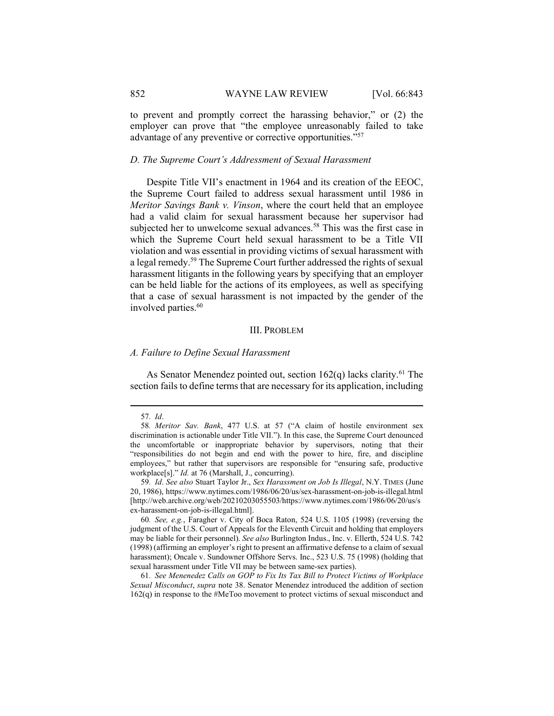to prevent and promptly correct the harassing behavior," or (2) the employer can prove that "the employee unreasonably failed to take advantage of any preventive or corrective opportunities."<sup>57</sup>

# D. The Supreme Court's Addressment of Sexual Harassment

Despite Title VII's enactment in 1964 and its creation of the EEOC, the Supreme Court failed to address sexual harassment until 1986 in Meritor Savings Bank v. Vinson, where the court held that an employee had a valid claim for sexual harassment because her supervisor had subjected her to unwelcome sexual advances.<sup>58</sup> This was the first case in which the Supreme Court held sexual harassment to be a Title VII violation and was essential in providing victims of sexual harassment with a legal remedy.<sup>59</sup> The Supreme Court further addressed the rights of sexual harassment litigants in the following years by specifying that an employer can be held liable for the actions of its employees, as well as specifying that a case of sexual harassment is not impacted by the gender of the involved parties.<sup>60</sup>

#### III. PROBLEM

#### A. Failure to Define Sexual Harassment

As Senator Menendez pointed out, section  $162(q)$  lacks clarity.<sup>61</sup> The section fails to define terms that are necessary for its application, including

<sup>57</sup>. Id.

<sup>58</sup>. Meritor Sav. Bank, 477 U.S. at 57 ("A claim of hostile environment sex discrimination is actionable under Title VII."). In this case, the Supreme Court denounced the uncomfortable or inappropriate behavior by supervisors, noting that their "responsibilities do not begin and end with the power to hire, fire, and discipline employees," but rather that supervisors are responsible for "ensuring safe, productive workplace[s]." Id. at 76 (Marshall, J., concurring).

<sup>59</sup>. Id. See also Stuart Taylor Jr., Sex Harassment on Job Is Illegal, N.Y. TIMES (June 20, 1986), https://www.nytimes.com/1986/06/20/us/sex-harassment-on-job-is-illegal.html [http://web.archive.org/web/20210203055503/https://www.nytimes.com/1986/06/20/us/s ex-harassment-on-job-is-illegal.html].

<sup>60</sup>. See, e.g., Faragher v. City of Boca Raton, 524 U.S. 1105 (1998) (reversing the judgment of the U.S. Court of Appeals for the Eleventh Circuit and holding that employers may be liable for their personnel). See also Burlington Indus., Inc. v. Ellerth, 524 U.S. 742 (1998) (affirming an employer's right to present an affirmative defense to a claim of sexual harassment); Oncale v. Sundowner Offshore Servs. Inc., 523 U.S. 75 (1998) (holding that sexual harassment under Title VII may be between same-sex parties).

<sup>61</sup>. See Menenedez Calls on GOP to Fix Its Tax Bill to Protect Victims of Workplace Sexual Misconduct, supra note 38. Senator Menendez introduced the addition of section 162(q) in response to the #MeToo movement to protect victims of sexual misconduct and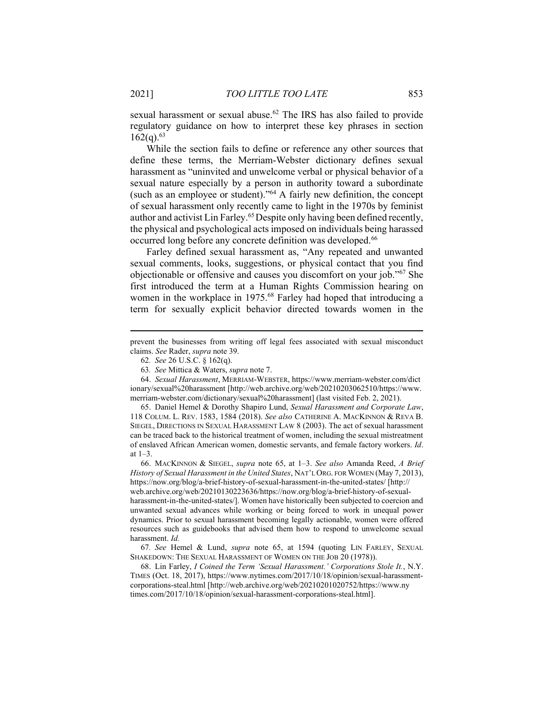sexual harassment or sexual abuse.<sup>62</sup> The IRS has also failed to provide regulatory guidance on how to interpret these key phrases in section  $162(q).<sup>63</sup>$ 

While the section fails to define or reference any other sources that define these terms, the Merriam-Webster dictionary defines sexual harassment as "uninvited and unwelcome verbal or physical behavior of a sexual nature especially by a person in authority toward a subordinate (such as an employee or student)." $64$  A fairly new definition, the concept of sexual harassment only recently came to light in the 1970s by feminist author and activist Lin Farley.<sup>65</sup> Despite only having been defined recently, the physical and psychological acts imposed on individuals being harassed occurred long before any concrete definition was developed.<sup>66</sup>

Farley defined sexual harassment as, "Any repeated and unwanted sexual comments, looks, suggestions, or physical contact that you find objectionable or offensive and causes you discomfort on your job."<sup>67</sup> She first introduced the term at a Human Rights Commission hearing on women in the workplace in 1975.<sup>68</sup> Farley had hoped that introducing a term for sexually explicit behavior directed towards women in the

 65. Daniel Hemel & Dorothy Shapiro Lund, Sexual Harassment and Corporate Law, 118 COLUM. L. REV. 1583, 1584 (2018). See also CATHERINE A. MACKINNON & REVA B. SIEGEL, DIRECTIONS IN SEXUAL HARASSMENT LAW 8 (2003). The act of sexual harassment can be traced back to the historical treatment of women, including the sexual mistreatment of enslaved African American women, domestic servants, and female factory workers. Id. at 1–3.

 66. MACKINNON & SIEGEL, supra note 65, at 1–3. See also Amanda Reed, A Brief History of Sexual Harassment in the United States, NAT'L ORG. FOR WOMEN (May 7, 2013), https://now.org/blog/a-brief-history-of-sexual-harassment-in-the-united-states/ [http:// web.archive.org/web/20210130223636/https://now.org/blog/a-brief-history-of-sexualharassment-in-the-united-states/]. Women have historically been subjected to coercion and unwanted sexual advances while working or being forced to work in unequal power dynamics. Prior to sexual harassment becoming legally actionable, women were offered resources such as guidebooks that advised them how to respond to unwelcome sexual harassment. Id.

67. See Hemel & Lund, supra note 65, at 1594 (quoting LIN FARLEY, SEXUAL SHAKEDOWN: THE SEXUAL HARASSMENT OF WOMEN ON THE JOB 20 (1978)).

 68. Lin Farley, I Coined the Term 'Sexual Harassment.' Corporations Stole It., N.Y. TIMES (Oct. 18, 2017), https://www.nytimes.com/2017/10/18/opinion/sexual-harassmentcorporations-steal.html [http://web.archive.org/web/20210201020752/https://www.ny times.com/2017/10/18/opinion/sexual-harassment-corporations-steal.html].

prevent the businesses from writing off legal fees associated with sexual misconduct claims. See Rader, supra note 39.

<sup>62</sup>. See 26 U.S.C. § 162(q).

<sup>63</sup>. See Mittica & Waters, supra note 7.

 <sup>64.</sup> Sexual Harassment, MERRIAM-WEBSTER, https://www.merriam-webster.com/dict ionary/sexual%20harassment [http://web.archive.org/web/20210203062510/https://www. merriam-webster.com/dictionary/sexual%20harassment] (last visited Feb. 2, 2021).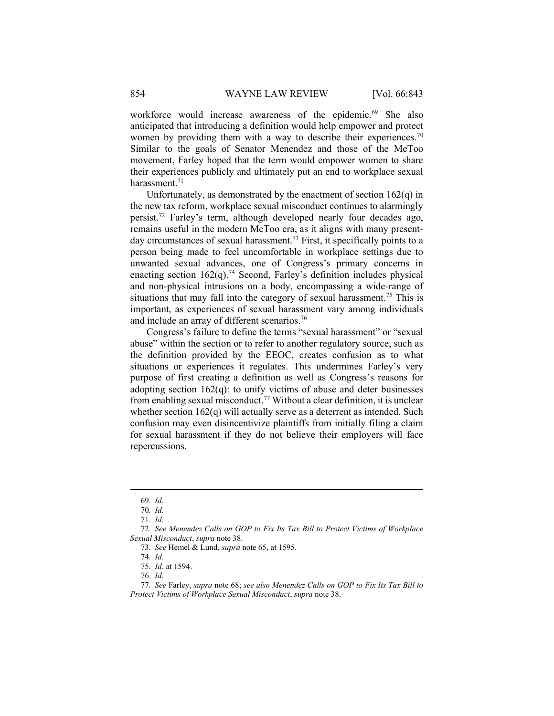workforce would increase awareness of the epidemic.<sup>69</sup> She also anticipated that introducing a definition would help empower and protect women by providing them with a way to describe their experiences.<sup>70</sup> Similar to the goals of Senator Menendez and those of the MeToo movement, Farley hoped that the term would empower women to share their experiences publicly and ultimately put an end to workplace sexual harassment.<sup>71</sup>

Unfortunately, as demonstrated by the enactment of section 162(q) in the new tax reform, workplace sexual misconduct continues to alarmingly persist.<sup>72</sup> Farley's term, although developed nearly four decades ago, remains useful in the modern MeToo era, as it aligns with many presentday circumstances of sexual harassment.<sup>73</sup> First, it specifically points to a person being made to feel uncomfortable in workplace settings due to unwanted sexual advances, one of Congress's primary concerns in enacting section  $162(q)$ .<sup>74</sup> Second, Farley's definition includes physical and non-physical intrusions on a body, encompassing a wide-range of situations that may fall into the category of sexual harassment.<sup>75</sup> This is important, as experiences of sexual harassment vary among individuals and include an array of different scenarios.<sup>76</sup>

Congress's failure to define the terms "sexual harassment" or "sexual abuse" within the section or to refer to another regulatory source, such as the definition provided by the EEOC, creates confusion as to what situations or experiences it regulates. This undermines Farley's very purpose of first creating a definition as well as Congress's reasons for adopting section  $162(q)$ : to unify victims of abuse and deter businesses from enabling sexual misconduct.<sup>77</sup> Without a clear definition, it is unclear whether section  $162(q)$  will actually serve as a deterrent as intended. Such confusion may even disincentivize plaintiffs from initially filing a claim for sexual harassment if they do not believe their employers will face repercussions.

<sup>69</sup>. Id.

<sup>70</sup>. Id.

<sup>71</sup>. Id.

<sup>72</sup>. See Menendez Calls on GOP to Fix Its Tax Bill to Protect Victims of Workplace Sexual Misconduct, supra note 38.

<sup>73</sup>. See Hemel & Lund, supra note 65, at 1595.

<sup>74</sup>. Id.

<sup>75</sup>. Id. at 1594.

<sup>76</sup>. Id.

<sup>77</sup>. See Farley, supra note 68; see also Menendez Calls on GOP to Fix Its Tax Bill to Protect Victims of Workplace Sexual Misconduct, supra note 38.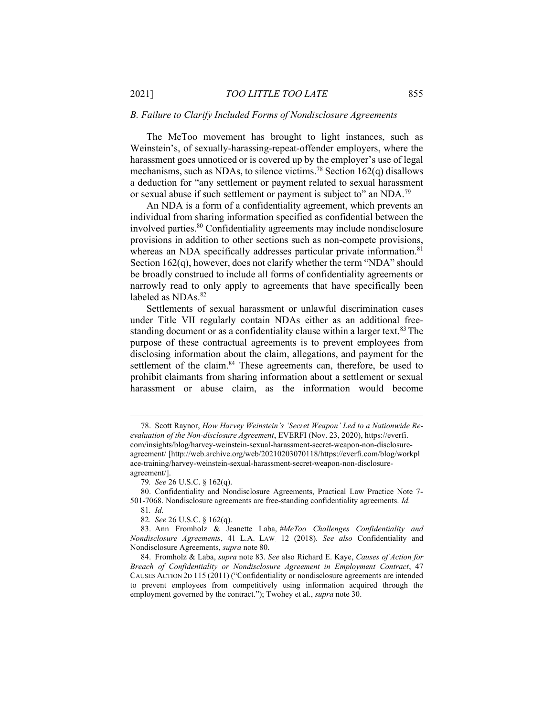#### B. Failure to Clarify Included Forms of Nondisclosure Agreements

The MeToo movement has brought to light instances, such as Weinstein's, of sexually-harassing-repeat-offender employers, where the harassment goes unnoticed or is covered up by the employer's use of legal mechanisms, such as NDAs, to silence victims.<sup>78</sup> Section  $162(q)$  disallows a deduction for "any settlement or payment related to sexual harassment or sexual abuse if such settlement or payment is subject to" an NDA.<sup>79</sup>

An NDA is a form of a confidentiality agreement, which prevents an individual from sharing information specified as confidential between the involved parties.<sup>80</sup> Confidentiality agreements may include nondisclosure provisions in addition to other sections such as non-compete provisions, whereas an NDA specifically addresses particular private information.<sup>81</sup> Section 162(q), however, does not clarify whether the term "NDA" should be broadly construed to include all forms of confidentiality agreements or narrowly read to only apply to agreements that have specifically been labeled as NDAs.<sup>82</sup>

Settlements of sexual harassment or unlawful discrimination cases under Title VII regularly contain NDAs either as an additional freestanding document or as a confidentiality clause within a larger text.<sup>83</sup> The purpose of these contractual agreements is to prevent employees from disclosing information about the claim, allegations, and payment for the settlement of the claim.<sup>84</sup> These agreements can, therefore, be used to prohibit claimants from sharing information about a settlement or sexual harassment or abuse claim, as the information would become

 <sup>78.</sup> Scott Raynor, How Harvey Weinstein's 'Secret Weapon' Led to a Nationwide Reevaluation of the Non-disclosure Agreement, EVERFI (Nov. 23, 2020), https://everfi. com/insights/blog/harvey-weinstein-sexual-harassment-secret-weapon-non-disclosureagreement/ [http://web.archive.org/web/20210203070118/https://everfi.com/blog/workpl ace-training/harvey-weinstein-sexual-harassment-secret-weapon-non-disclosureagreement/].

<sup>79</sup>. See 26 U.S.C. § 162(q).

 <sup>80.</sup> Confidentiality and Nondisclosure Agreements, Practical Law Practice Note 7- 501-7068. Nondisclosure agreements are free-standing confidentiality agreements. Id.

<sup>81</sup>. Id.

<sup>82</sup>. See 26 U.S.C. § 162(q).

 <sup>83.</sup> Ann Fromholz & Jeanette Laba, #MeToo Challenges Confidentiality and Nondisclosure Agreements, 41 L.A. LAW. 12 (2018). See also Confidentiality and Nondisclosure Agreements, supra note 80.

 <sup>84.</sup> Fromholz & Laba, supra note 83. See also Richard E. Kaye, Causes of Action for Breach of Confidentiality or Nondisclosure Agreement in Employment Contract, 47 CAUSES ACTION 2D 115 (2011) ("Confidentiality or nondisclosure agreements are intended to prevent employees from competitively using information acquired through the employment governed by the contract."); Twohey et al., *supra* note 30.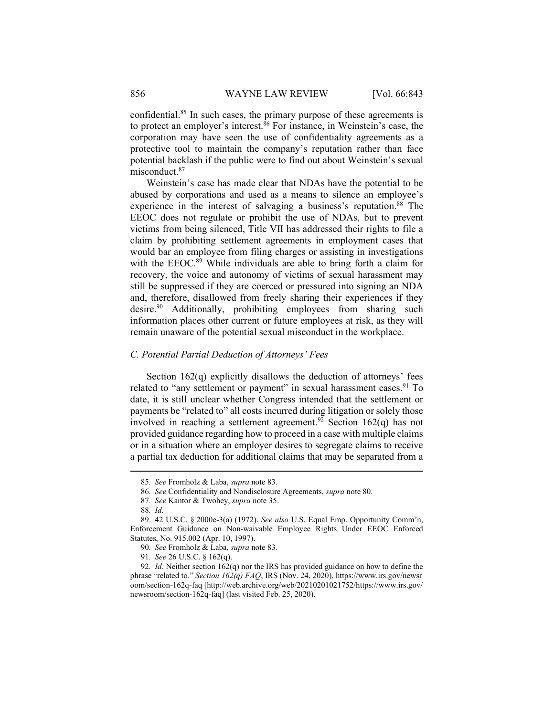confidential.<sup>85</sup> In such cases, the primary purpose of these agreements is to protect an employer's interest. ${}^{86}$  For instance, in Weinstein's case, the corporation may have seen the use of confidentiality agreements as a protective tool to maintain the company's reputation rather than face potential backlash if the public were to find out about Weinstein's sexual misconduct.<sup>87</sup>

Weinstein's case has made clear that NDAs have the potential to be abused by corporations and used as a means to silence an employee's experience in the interest of salvaging a business's reputation.<sup>88</sup> The EEOC does not regulate or prohibit the use of NDAs, but to prevent victims from being silenced, Title VII has addressed their rights to file a claim by prohibiting settlement agreements in employment cases that would bar an employee from filing charges or assisting in investigations with the EEOC.<sup>89</sup> While individuals are able to bring forth a claim for recovery, the voice and autonomy of victims of sexual harassment may still be suppressed if they are coerced or pressured into signing an NDA and, therefore, disallowed from freely sharing their experiences if they desire.<sup>90</sup> Additionally, prohibiting employees from sharing such information places other current or future employees at risk, as they will remain unaware of the potential sexual misconduct in the workplace.

### C. Potential Partial Deduction of Attorneys' Fees

Section 162(q) explicitly disallows the deduction of attorneys' fees related to "any settlement or payment" in sexual harassment cases.<sup>91</sup> To date, it is still unclear whether Congress intended that the settlement or payments be "related to" all costs incurred during litigation or solely those involved in reaching a settlement agreement.<sup>92</sup> Section 162(q) has not provided guidance regarding how to proceed in a case with multiple claims or in a situation where an employer desires to segregate claims to receive a partial tax deduction for additional claims that may be separated from a

<sup>85</sup>. See Fromholz & Laba, supra note 83.

<sup>86</sup>. See Confidentiality and Nondisclosure Agreements, supra note 80.

<sup>87</sup>. See Kantor & Twohey, supra note 35.

<sup>88</sup>. Id.

 <sup>89. 42</sup> U.S.C. § 2000e-3(a) (1972). See also U.S. Equal Emp. Opportunity Comm'n, Enforcement Guidance on Non-waivable Employee Rights Under EEOC Enforced Statutes, No. 915.002 (Apr. 10, 1997).

<sup>90</sup>. See Fromholz & Laba, supra note 83.

<sup>91</sup>. See 26 U.S.C. § 162(q).

<sup>92.</sup> Id. Neither section  $162(q)$  nor the IRS has provided guidance on how to define the phrase "related to." Section 162(q) FAQ, IRS (Nov. 24, 2020), https://www.irs.gov/newsr oom/section-162q-faq [http://web.archive.org/web/20210201021752/https://www.irs.gov/ newsroom/section-162q-faq] (last visited Feb. 25, 2020).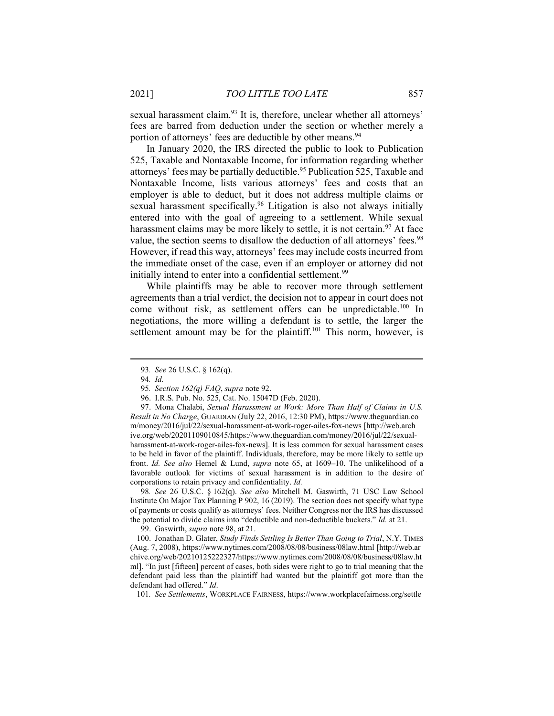sexual harassment claim.<sup>93</sup> It is, therefore, unclear whether all attorneys' fees are barred from deduction under the section or whether merely a portion of attorneys' fees are deductible by other means.<sup>94</sup>

In January 2020, the IRS directed the public to look to Publication 525, Taxable and Nontaxable Income, for information regarding whether attorneys' fees may be partially deductible.<sup>95</sup> Publication 525, Taxable and Nontaxable Income, lists various attorneys' fees and costs that an employer is able to deduct, but it does not address multiple claims or sexual harassment specifically.<sup>96</sup> Litigation is also not always initially entered into with the goal of agreeing to a settlement. While sexual harassment claims may be more likely to settle, it is not certain.<sup>97</sup> At face value, the section seems to disallow the deduction of all attorneys' fees.<sup>98</sup> However, if read this way, attorneys' fees may include costs incurred from the immediate onset of the case, even if an employer or attorney did not initially intend to enter into a confidential settlement.<sup>99</sup>

While plaintiffs may be able to recover more through settlement agreements than a trial verdict, the decision not to appear in court does not come without risk, as settlement offers can be unpredictable.<sup>100</sup> In negotiations, the more willing a defendant is to settle, the larger the settlement amount may be for the plaintiff.<sup>101</sup> This norm, however, is

97. Mona Chalabi, Sexual Harassment at Work: More Than Half of Claims in U.S. Result in No Charge, GUARDIAN (July 22, 2016, 12:30 PM), https://www.theguardian.co m/money/2016/jul/22/sexual-harassment-at-work-roger-ailes-fox-news [http://web.arch ive.org/web/20201109010845/https://www.theguardian.com/money/2016/jul/22/sexualharassment-at-work-roger-ailes-fox-news]. It is less common for sexual harassment cases to be held in favor of the plaintiff. Individuals, therefore, may be more likely to settle up front. Id. See also Hemel & Lund, supra note 65, at 1609–10. The unlikelihood of a favorable outlook for victims of sexual harassment is in addition to the desire of corporations to retain privacy and confidentiality. Id.

98. See 26 U.S.C. § 162(q). See also Mitchell M. Gaswirth, 71 USC Law School Institute On Major Tax Planning P 902, 16 (2019). The section does not specify what type of payments or costs qualify as attorneys' fees. Neither Congress nor the IRS has discussed the potential to divide claims into "deductible and non-deductible buckets." *Id.* at 21.

99. Gaswirth, supra note 98, at 21.

100. Jonathan D. Glater, Study Finds Settling Is Better Than Going to Trial, N.Y. TIMES (Aug. 7, 2008), https://www.nytimes.com/2008/08/08/business/08law.html [http://web.ar chive.org/web/20210125222327/https://www.nytimes.com/2008/08/08/business/08law.ht ml]. "In just [fifteen] percent of cases, both sides were right to go to trial meaning that the defendant paid less than the plaintiff had wanted but the plaintiff got more than the defendant had offered." Id.

101. See Settlements, WORKPLACE FAIRNESS, https://www.workplacefairness.org/settle

<sup>93</sup>. See 26 U.S.C. § 162(q).

<sup>94</sup>. Id.

<sup>95.</sup> Section 162(q) FAQ, supra note 92.

 <sup>96.</sup> I.R.S. Pub. No. 525, Cat. No. 15047D (Feb. 2020).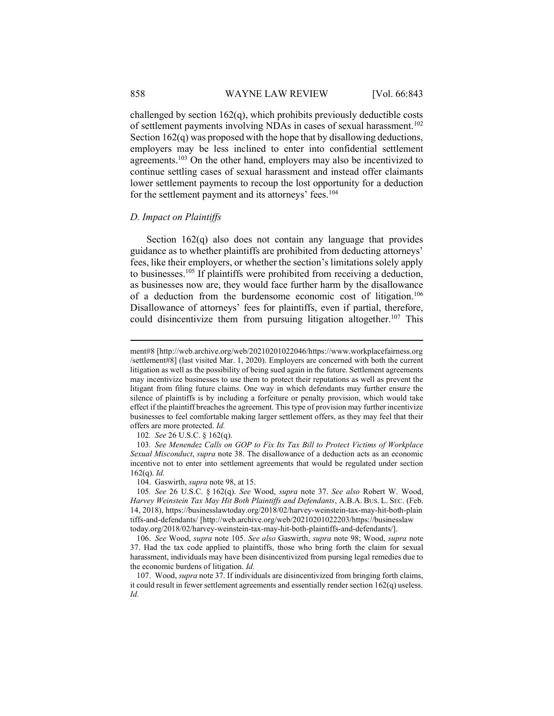challenged by section 162(q), which prohibits previously deductible costs of settlement payments involving NDAs in cases of sexual harassment.<sup>102</sup> Section 162(q) was proposed with the hope that by disallowing deductions, employers may be less inclined to enter into confidential settlement agreements.<sup>103</sup> On the other hand, employers may also be incentivized to continue settling cases of sexual harassment and instead offer claimants lower settlement payments to recoup the lost opportunity for a deduction for the settlement payment and its attorneys' fees.<sup>104</sup>

#### D. Impact on Plaintiffs

Section 162(q) also does not contain any language that provides guidance as to whether plaintiffs are prohibited from deducting attorneys' fees, like their employers, or whether the section's limitations solely apply to businesses.<sup>105</sup> If plaintiffs were prohibited from receiving a deduction, as businesses now are, they would face further harm by the disallowance of a deduction from the burdensome economic cost of litigation.<sup>106</sup> Disallowance of attorneys' fees for plaintiffs, even if partial, therefore, could disincentivize them from pursuing litigation altogether.<sup>107</sup> This

102. See 26 U.S.C. § 162(q).

103. See Menendez Calls on GOP to Fix Its Tax Bill to Protect Victims of Workplace Sexual Misconduct, supra note 38. The disallowance of a deduction acts as an economic incentive not to enter into settlement agreements that would be regulated under section  $162(q)$ . *Id.* 

ment#8 [http://web.archive.org/web/20210201022046/https://www.workplacefairness.org /settlement#8] (last visited Mar. 1, 2020). Employers are concerned with both the current litigation as well as the possibility of being sued again in the future. Settlement agreements may incentivize businesses to use them to protect their reputations as well as prevent the litigant from filing future claims. One way in which defendants may further ensure the silence of plaintiffs is by including a forfeiture or penalty provision, which would take effect if the plaintiff breaches the agreement. This type of provision may further incentivize businesses to feel comfortable making larger settlement offers, as they may feel that their offers are more protected. Id.

 <sup>104.</sup> Gaswirth, supra note 98, at 15.

<sup>105</sup>. See 26 U.S.C. § 162(q). See Wood, supra note 37. See also Robert W. Wood, Harvey Weinstein Tax May Hit Both Plaintiffs and Defendants, A.B.A. BUS. L. SEC. (Feb. 14, 2018), https://businesslawtoday.org/2018/02/harvey-weinstein-tax-may-hit-both-plain tiffs-and-defendants/ [http://web.archive.org/web/20210201022203/https://businesslaw today.org/2018/02/harvey-weinstein-tax-may-hit-both-plaintiffs-and-defendants/].

 <sup>106.</sup> See Wood, supra note 105. See also Gaswirth, supra note 98; Wood, supra note 37. Had the tax code applied to plaintiffs, those who bring forth the claim for sexual harassment, individuals may have been disincentivized from pursing legal remedies due to the economic burdens of litigation. Id.

 <sup>107.</sup> Wood, supra note 37. If individuals are disincentivized from bringing forth claims, it could result in fewer settlement agreements and essentially render section  $162(q)$  useless. Id.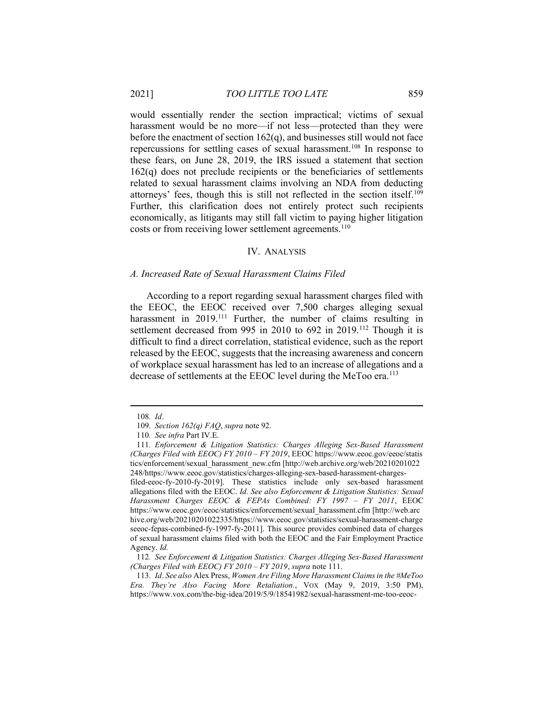would essentially render the section impractical; victims of sexual harassment would be no more—if not less—protected than they were before the enactment of section  $162(q)$ , and businesses still would not face repercussions for settling cases of sexual harassment.<sup>108</sup> In response to these fears, on June 28, 2019, the IRS issued a statement that section 162(q) does not preclude recipients or the beneficiaries of settlements related to sexual harassment claims involving an NDA from deducting attorneys' fees, though this is still not reflected in the section itself.<sup>109</sup> Further, this clarification does not entirely protect such recipients economically, as litigants may still fall victim to paying higher litigation costs or from receiving lower settlement agreements.<sup>110</sup>

# IV. ANALYSIS

#### A. Increased Rate of Sexual Harassment Claims Filed

According to a report regarding sexual harassment charges filed with the EEOC, the EEOC received over 7,500 charges alleging sexual harassment in 2019.<sup>111</sup> Further, the number of claims resulting in settlement decreased from 995 in 2010 to 692 in 2019.<sup>112</sup> Though it is difficult to find a direct correlation, statistical evidence, such as the report released by the EEOC, suggests that the increasing awareness and concern of workplace sexual harassment has led to an increase of allegations and a decrease of settlements at the EEOC level during the MeToo era.<sup>113</sup>

filed-eeoc-fy-2010-fy-2019]. These statistics include only sex-based harassment allegations filed with the EEOC. Id. See also Enforcement  $\&$  Litigation Statistics: Sexual Harassment Charges EEOC & FEPAs Combined: FY 1997 – FY 2011, EEOC https://www.eeoc.gov/eeoc/statistics/enforcement/sexual\_harassment.cfm [http://web.arc hive.org/web/20210201022335/https://www.eeoc.gov/statistics/sexual-harassment-charge seeoc-fepas-combined-fy-1997-fy-2011]. This source provides combined data of charges of sexual harassment claims filed with both the EEOC and the Fair Employment Practice Agency. Id.

113. Id. See also Alex Press, Women Are Filing More Harassment Claims in the #MeToo Era. They're Also Facing More Retaliation., VOX (May 9, 2019, 3:50 PM), https://www.vox.com/the-big-idea/2019/5/9/18541982/sexual-harassment-me-too-eeoc-

<sup>108</sup>. Id.

<sup>109</sup>. Section 162(q) FAQ, supra note 92.

<sup>110</sup>. See infra Part IV.E.

<sup>111</sup>. Enforcement & Litigation Statistics: Charges Alleging Sex-Based Harassment (Charges Filed with EEOC) FY 2010 – FY 2019, EEOC https://www.eeoc.gov/eeoc/statis tics/enforcement/sexual\_harassment\_new.cfm [http://web.archive.org/web/20210201022 248/https://www.eeoc.gov/statistics/charges-alleging-sex-based-harassment-charges-

<sup>112</sup>. See Enforcement & Litigation Statistics: Charges Alleging Sex-Based Harassment (Charges Filed with EEOC) FY 2010 – FY 2019, supra note 111.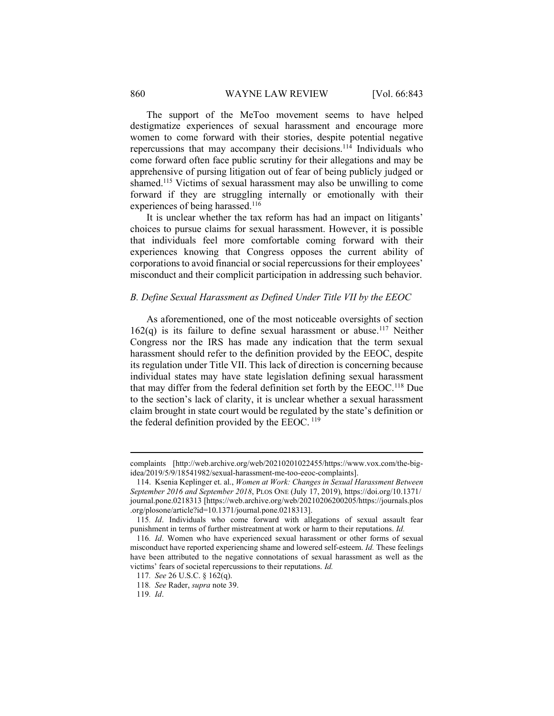The support of the MeToo movement seems to have helped destigmatize experiences of sexual harassment and encourage more women to come forward with their stories, despite potential negative repercussions that may accompany their decisions.<sup>114</sup> Individuals who come forward often face public scrutiny for their allegations and may be apprehensive of pursing litigation out of fear of being publicly judged or shamed.<sup>115</sup> Victims of sexual harassment may also be unwilling to come forward if they are struggling internally or emotionally with their experiences of being harassed.<sup>116</sup>

It is unclear whether the tax reform has had an impact on litigants' choices to pursue claims for sexual harassment. However, it is possible that individuals feel more comfortable coming forward with their experiences knowing that Congress opposes the current ability of corporations to avoid financial or social repercussions for their employees' misconduct and their complicit participation in addressing such behavior.

# B. Define Sexual Harassment as Defined Under Title VII by the EEOC

As aforementioned, one of the most noticeable oversights of section  $162(q)$  is its failure to define sexual harassment or abuse.<sup>117</sup> Neither Congress nor the IRS has made any indication that the term sexual harassment should refer to the definition provided by the EEOC, despite its regulation under Title VII. This lack of direction is concerning because individual states may have state legislation defining sexual harassment that may differ from the federal definition set forth by the EEOC.<sup>118</sup> Due to the section's lack of clarity, it is unclear whether a sexual harassment claim brought in state court would be regulated by the state's definition or the federal definition provided by the EEOC.  $^{119}$ 

complaints [http://web.archive.org/web/20210201022455/https://www.vox.com/the-bigidea/2019/5/9/18541982/sexual-harassment-me-too-eeoc-complaints].

 <sup>114.</sup> Ksenia Keplinger et. al., Women at Work: Changes in Sexual Harassment Between September 2016 and September 2018, PLOS ONE (July 17, 2019), https://doi.org/10.1371/ journal.pone.0218313 [https://web.archive.org/web/20210206200205/https://journals.plos .org/plosone/article?id=10.1371/journal.pone.0218313].

<sup>115</sup>. Id. Individuals who come forward with allegations of sexual assault fear punishment in terms of further mistreatment at work or harm to their reputations. Id.

<sup>116</sup>. Id. Women who have experienced sexual harassment or other forms of sexual misconduct have reported experiencing shame and lowered self-esteem. Id. These feelings have been attributed to the negative connotations of sexual harassment as well as the victims' fears of societal repercussions to their reputations. Id.

<sup>117</sup>. See 26 U.S.C. § 162(q).

<sup>118</sup>. See Rader, supra note 39.

<sup>119</sup>. Id.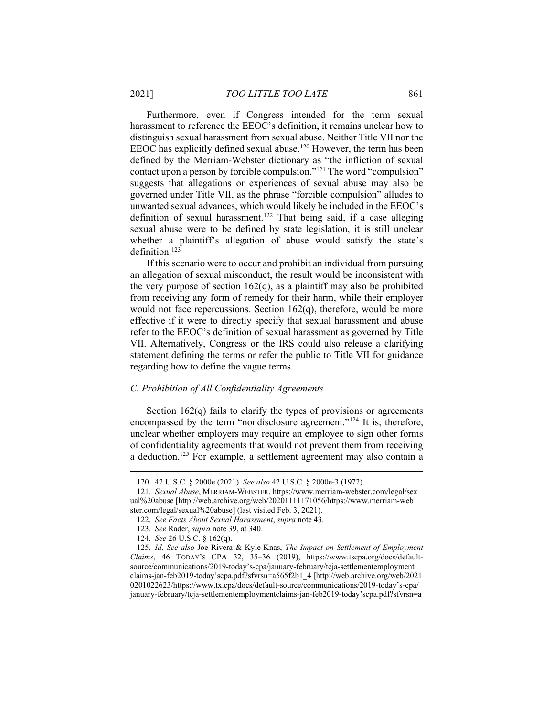Furthermore, even if Congress intended for the term sexual harassment to reference the EEOC's definition, it remains unclear how to distinguish sexual harassment from sexual abuse. Neither Title VII nor the EEOC has explicitly defined sexual abuse.<sup>120</sup> However, the term has been defined by the Merriam-Webster dictionary as "the infliction of sexual contact upon a person by forcible compulsion."<sup>121</sup> The word "compulsion" suggests that allegations or experiences of sexual abuse may also be governed under Title VII, as the phrase "forcible compulsion" alludes to unwanted sexual advances, which would likely be included in the EEOC's definition of sexual harassment.<sup>122</sup> That being said, if a case alleging sexual abuse were to be defined by state legislation, it is still unclear whether a plaintiff's allegation of abuse would satisfy the state's definition.<sup>123</sup>

If this scenario were to occur and prohibit an individual from pursuing an allegation of sexual misconduct, the result would be inconsistent with the very purpose of section  $162(q)$ , as a plaintiff may also be prohibited from receiving any form of remedy for their harm, while their employer would not face repercussions. Section  $162(q)$ , therefore, would be more effective if it were to directly specify that sexual harassment and abuse refer to the EEOC's definition of sexual harassment as governed by Title VII. Alternatively, Congress or the IRS could also release a clarifying statement defining the terms or refer the public to Title VII for guidance regarding how to define the vague terms.

#### C. Prohibition of All Confidentiality Agreements

Section  $162(q)$  fails to clarify the types of provisions or agreements encompassed by the term "nondisclosure agreement."<sup>124</sup> It is, therefore, unclear whether employers may require an employee to sign other forms of confidentiality agreements that would not prevent them from receiving a deduction.<sup>125</sup> For example, a settlement agreement may also contain a

 <sup>120. 42</sup> U.S.C. § 2000e (2021). See also 42 U.S.C. § 2000e-3 (1972).

 <sup>121.</sup> Sexual Abuse, MERRIAM-WEBSTER, https://www.merriam-webster.com/legal/sex ual%20abuse [http://web.archive.org/web/20201111171056/https://www.merriam-web ster.com/legal/sexual%20abuse] (last visited Feb. 3, 2021).

<sup>122</sup>. See Facts About Sexual Harassment, supra note 43.

<sup>123</sup>. See Rader, supra note 39, at 340.

<sup>124</sup>. See 26 U.S.C. § 162(q).

<sup>125</sup>. Id. See also Joe Rivera & Kyle Knas, The Impact on Settlement of Employment Claims, 46 TODAY'S CPA 32, 35–36 (2019), https://www.tscpa.org/docs/defaultsource/communications/2019-today's-cpa/january-february/tcja-settlementemployment claims-jan-feb2019-today'scpa.pdf?sfvrsn=a565f2b1\_4 [http://web.archive.org/web/2021 0201022623/https://www.tx.cpa/docs/default-source/communications/2019-today's-cpa/ january-february/tcja-settlementemploymentclaims-jan-feb2019-today'scpa.pdf?sfvrsn=a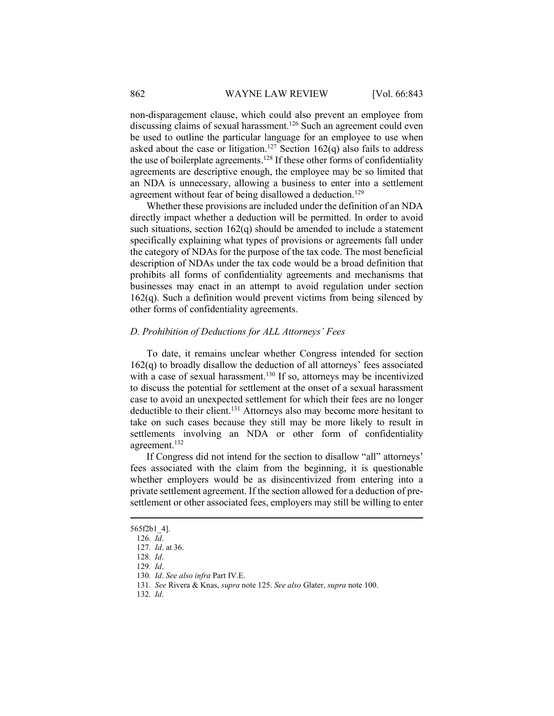non-disparagement clause, which could also prevent an employee from discussing claims of sexual harassment.<sup>126</sup> Such an agreement could even be used to outline the particular language for an employee to use when asked about the case or litigation.<sup>127</sup> Section 162(q) also fails to address the use of boilerplate agreements.<sup>128</sup> If these other forms of confidentiality agreements are descriptive enough, the employee may be so limited that an NDA is unnecessary, allowing a business to enter into a settlement agreement without fear of being disallowed a deduction.<sup>129</sup>

Whether these provisions are included under the definition of an NDA directly impact whether a deduction will be permitted. In order to avoid such situations, section 162(q) should be amended to include a statement specifically explaining what types of provisions or agreements fall under the category of NDAs for the purpose of the tax code. The most beneficial description of NDAs under the tax code would be a broad definition that prohibits all forms of confidentiality agreements and mechanisms that businesses may enact in an attempt to avoid regulation under section  $162(q)$ . Such a definition would prevent victims from being silenced by other forms of confidentiality agreements.

# D. Prohibition of Deductions for ALL Attorneys' Fees

To date, it remains unclear whether Congress intended for section  $162(q)$  to broadly disallow the deduction of all attorneys' fees associated with a case of sexual harassment.<sup>130</sup> If so, attorneys may be incentivized to discuss the potential for settlement at the onset of a sexual harassment case to avoid an unexpected settlement for which their fees are no longer deductible to their client.<sup>131</sup> Attorneys also may become more hesitant to take on such cases because they still may be more likely to result in settlements involving an NDA or other form of confidentiality agreement.<sup>132</sup>

If Congress did not intend for the section to disallow "all" attorneys' fees associated with the claim from the beginning, it is questionable whether employers would be as disincentivized from entering into a private settlement agreement. If the section allowed for a deduction of presettlement or other associated fees, employers may still be willing to enter

132. Id.

<sup>565</sup>f2b1\_4].

<sup>126</sup>. Id.

<sup>127</sup>. Id. at 36.

<sup>128</sup>. Id.

<sup>129</sup>. Id.

<sup>130</sup>. Id. See also infra Part IV.E.

<sup>131</sup>. See Rivera & Knas, supra note 125. See also Glater, supra note 100.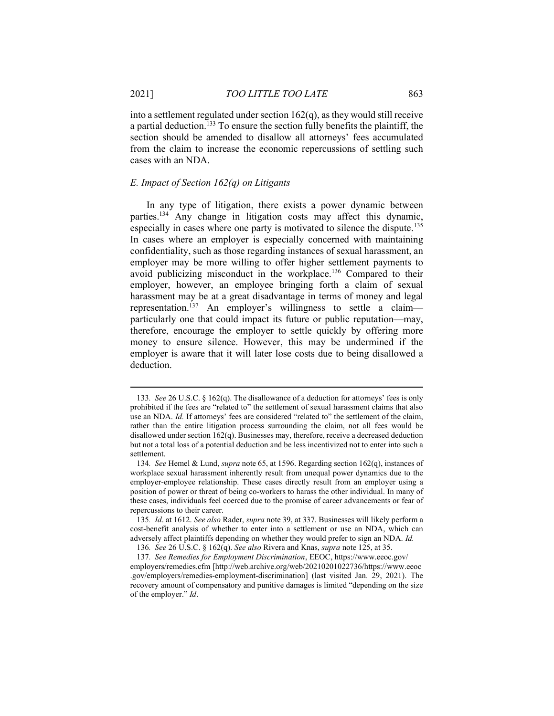into a settlement regulated under section 162(q), as they would still receive a partial deduction.<sup>133</sup> To ensure the section fully benefits the plaintiff, the section should be amended to disallow all attorneys' fees accumulated from the claim to increase the economic repercussions of settling such cases with an NDA.

# E. Impact of Section  $162(q)$  on Litigants

In any type of litigation, there exists a power dynamic between parties.<sup>134</sup> Any change in litigation costs may affect this dynamic, especially in cases where one party is motivated to silence the dispute.<sup>135</sup> In cases where an employer is especially concerned with maintaining confidentiality, such as those regarding instances of sexual harassment, an employer may be more willing to offer higher settlement payments to avoid publicizing misconduct in the workplace.<sup>136</sup> Compared to their employer, however, an employee bringing forth a claim of sexual harassment may be at a great disadvantage in terms of money and legal representation.<sup>137</sup> An employer's willingness to settle a claim particularly one that could impact its future or public reputation—may, therefore, encourage the employer to settle quickly by offering more money to ensure silence. However, this may be undermined if the employer is aware that it will later lose costs due to being disallowed a deduction.

135. Id. at 1612. See also Rader, supra note 39, at 337. Businesses will likely perform a cost-benefit analysis of whether to enter into a settlement or use an NDA, which can adversely affect plaintiffs depending on whether they would prefer to sign an NDA. Id.

<sup>133</sup>. See 26 U.S.C. § 162(q). The disallowance of a deduction for attorneys' fees is only prohibited if the fees are "related to" the settlement of sexual harassment claims that also use an NDA. Id. If attorneys' fees are considered "related to" the settlement of the claim, rather than the entire litigation process surrounding the claim, not all fees would be disallowed under section 162(q). Businesses may, therefore, receive a decreased deduction but not a total loss of a potential deduction and be less incentivized not to enter into such a settlement.

<sup>134</sup>. See Hemel & Lund, supra note 65, at 1596. Regarding section 162(q), instances of workplace sexual harassment inherently result from unequal power dynamics due to the employer-employee relationship. These cases directly result from an employer using a position of power or threat of being co-workers to harass the other individual. In many of these cases, individuals feel coerced due to the promise of career advancements or fear of repercussions to their career.

<sup>136</sup>. See 26 U.S.C. § 162(q). See also Rivera and Knas, supra note 125, at 35.

<sup>137</sup>. See Remedies for Employment Discrimination, EEOC, https://www.eeoc.gov/ employers/remedies.cfm [http://web.archive.org/web/20210201022736/https://www.eeoc .gov/employers/remedies-employment-discrimination] (last visited Jan. 29, 2021). The recovery amount of compensatory and punitive damages is limited "depending on the size of the employer." Id.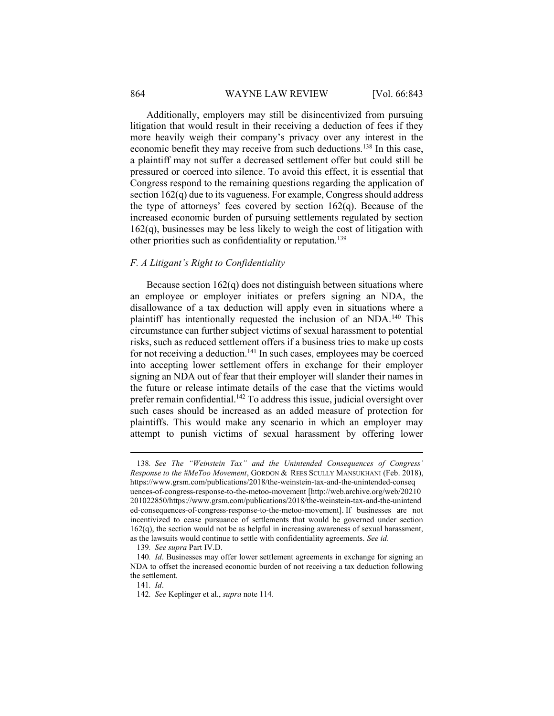### 864 WAYNE LAW REVIEW [Vol. 66:843]

Additionally, employers may still be disincentivized from pursuing litigation that would result in their receiving a deduction of fees if they more heavily weigh their company's privacy over any interest in the economic benefit they may receive from such deductions.<sup>138</sup> In this case, a plaintiff may not suffer a decreased settlement offer but could still be pressured or coerced into silence. To avoid this effect, it is essential that Congress respond to the remaining questions regarding the application of section 162(q) due to its vagueness. For example, Congress should address the type of attorneys' fees covered by section  $162(q)$ . Because of the increased economic burden of pursuing settlements regulated by section  $162(q)$ , businesses may be less likely to weigh the cost of litigation with other priorities such as confidentiality or reputation.<sup>139</sup>

### F. A Litigant's Right to Confidentiality

Because section  $162(q)$  does not distinguish between situations where an employee or employer initiates or prefers signing an NDA, the disallowance of a tax deduction will apply even in situations where a plaintiff has intentionally requested the inclusion of an NDA.<sup>140</sup> This circumstance can further subject victims of sexual harassment to potential risks, such as reduced settlement offers if a business tries to make up costs for not receiving a deduction.<sup>141</sup> In such cases, employees may be coerced into accepting lower settlement offers in exchange for their employer signing an NDA out of fear that their employer will slander their names in the future or release intimate details of the case that the victims would prefer remain confidential.<sup>142</sup> To address this issue, judicial oversight over such cases should be increased as an added measure of protection for plaintiffs. This would make any scenario in which an employer may attempt to punish victims of sexual harassment by offering lower

<sup>138</sup>. See The "Weinstein Tax" and the Unintended Consequences of Congress' Response to the #MeToo Movement, GORDON & REES SCULLY MANSUKHANI (Feb. 2018), https://www.grsm.com/publications/2018/the-weinstein-tax-and-the-unintended-conseq uences-of-congress-response-to-the-metoo-movement [http://web.archive.org/web/20210 201022850/https://www.grsm.com/publications/2018/the-weinstein-tax-and-the-unintend ed-consequences-of-congress-response-to-the-metoo-movement]. If businesses are not incentivized to cease pursuance of settlements that would be governed under section 162(q), the section would not be as helpful in increasing awareness of sexual harassment, as the lawsuits would continue to settle with confidentiality agreements. See id.

<sup>139</sup>. See supra Part IV.D.

<sup>140.</sup> Id. Businesses may offer lower settlement agreements in exchange for signing an NDA to offset the increased economic burden of not receiving a tax deduction following the settlement.

<sup>141</sup>. Id.

<sup>142.</sup> See Keplinger et al., supra note 114.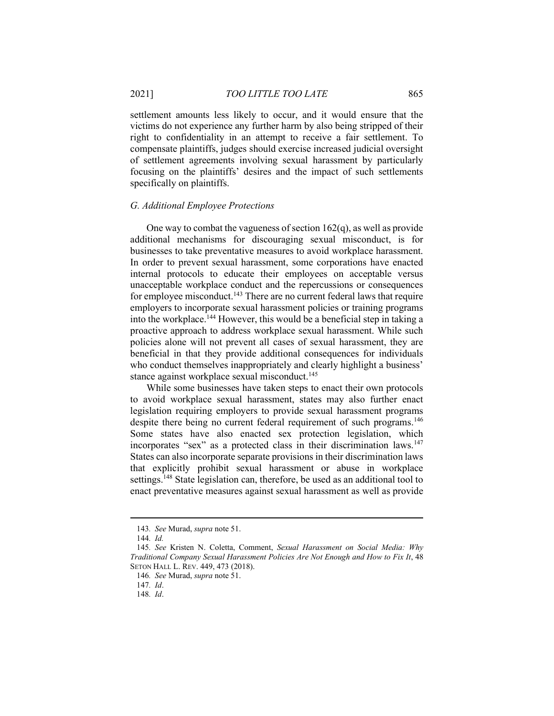settlement amounts less likely to occur, and it would ensure that the victims do not experience any further harm by also being stripped of their right to confidentiality in an attempt to receive a fair settlement. To compensate plaintiffs, judges should exercise increased judicial oversight of settlement agreements involving sexual harassment by particularly focusing on the plaintiffs' desires and the impact of such settlements specifically on plaintiffs.

### G. Additional Employee Protections

One way to combat the vagueness of section 162(q), as well as provide additional mechanisms for discouraging sexual misconduct, is for businesses to take preventative measures to avoid workplace harassment. In order to prevent sexual harassment, some corporations have enacted internal protocols to educate their employees on acceptable versus unacceptable workplace conduct and the repercussions or consequences for employee misconduct.<sup>143</sup> There are no current federal laws that require employers to incorporate sexual harassment policies or training programs into the workplace.<sup>144</sup> However, this would be a beneficial step in taking a proactive approach to address workplace sexual harassment. While such policies alone will not prevent all cases of sexual harassment, they are beneficial in that they provide additional consequences for individuals who conduct themselves inappropriately and clearly highlight a business' stance against workplace sexual misconduct.<sup>145</sup>

While some businesses have taken steps to enact their own protocols to avoid workplace sexual harassment, states may also further enact legislation requiring employers to provide sexual harassment programs despite there being no current federal requirement of such programs.<sup>146</sup> Some states have also enacted sex protection legislation, which incorporates "sex" as a protected class in their discrimination laws.<sup>147</sup> States can also incorporate separate provisions in their discrimination laws that explicitly prohibit sexual harassment or abuse in workplace settings.<sup>148</sup> State legislation can, therefore, be used as an additional tool to enact preventative measures against sexual harassment as well as provide

<sup>143</sup>. See Murad, supra note 51.

<sup>144</sup>. Id.

<sup>145.</sup> See Kristen N. Coletta, Comment, Sexual Harassment on Social Media: Why Traditional Company Sexual Harassment Policies Are Not Enough and How to Fix It, 48 SETON HALL L. REV. 449, 473 (2018).

<sup>146</sup>. See Murad, supra note 51.

<sup>147</sup>. Id.

<sup>148</sup>. Id.